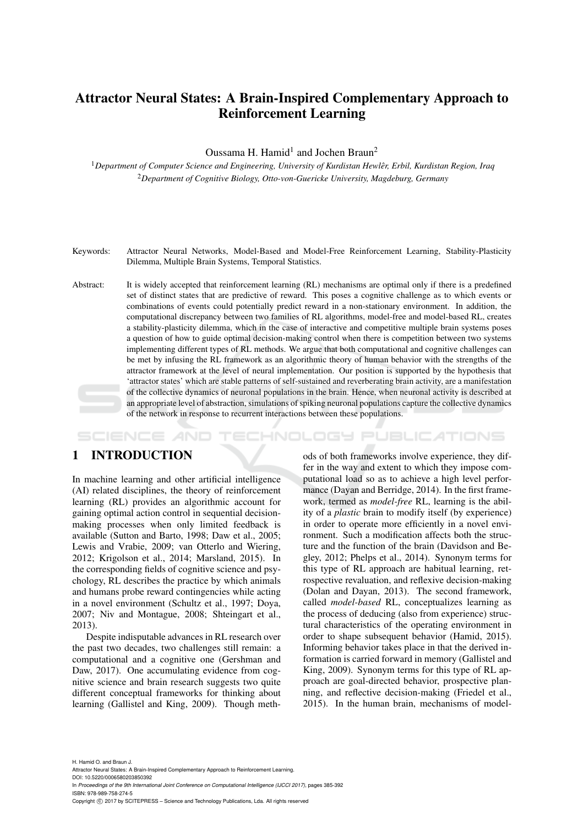# Attractor Neural States: A Brain-Inspired Complementary Approach to Reinforcement Learning

Oussama H. Hamid<sup>1</sup> and Jochen Braun<sup>2</sup>

<sup>1</sup>*Department of Computer Science and Engineering, University of Kurdistan Hewler, Erbil, Kurdistan Region, Iraq* ˆ <sup>2</sup>*Department of Cognitive Biology, Otto-von-Guericke University, Magdeburg, Germany*

- Keywords: Attractor Neural Networks, Model-Based and Model-Free Reinforcement Learning, Stability-Plasticity Dilemma, Multiple Brain Systems, Temporal Statistics.
- Abstract: It is widely accepted that reinforcement learning (RL) mechanisms are optimal only if there is a predefined set of distinct states that are predictive of reward. This poses a cognitive challenge as to which events or combinations of events could potentially predict reward in a non-stationary environment. In addition, the computational discrepancy between two families of RL algorithms, model-free and model-based RL, creates a stability-plasticity dilemma, which in the case of interactive and competitive multiple brain systems poses a question of how to guide optimal decision-making control when there is competition between two systems implementing different types of RL methods. We argue that both computational and cognitive challenges can be met by infusing the RL framework as an algorithmic theory of human behavior with the strengths of the attractor framework at the level of neural implementation. Our position is supported by the hypothesis that 'attractor states' which are stable patterns of self-sustained and reverberating brain activity, are a manifestation of the collective dynamics of neuronal populations in the brain. Hence, when neuronal activity is described at an appropriate level of abstraction, simulations of spiking neuronal populations capture the collective dynamics of the network in response to recurrent interactions between these populations.

### HNOLOGY PUBLICATIONS SCIENCE *AN*D

# 1 INTRODUCTION

In machine learning and other artificial intelligence (AI) related disciplines, the theory of reinforcement learning (RL) provides an algorithmic account for gaining optimal action control in sequential decisionmaking processes when only limited feedback is available (Sutton and Barto, 1998; Daw et al., 2005; Lewis and Vrabie, 2009; van Otterlo and Wiering, 2012; Krigolson et al., 2014; Marsland, 2015). In the corresponding fields of cognitive science and psychology, RL describes the practice by which animals and humans probe reward contingencies while acting in a novel environment (Schultz et al., 1997; Doya, 2007; Niv and Montague, 2008; Shteingart et al., 2013).

Despite indisputable advances in RL research over the past two decades, two challenges still remain: a computational and a cognitive one (Gershman and Daw, 2017). One accumulating evidence from cognitive science and brain research suggests two quite different conceptual frameworks for thinking about learning (Gallistel and King, 2009). Though meth-

ods of both frameworks involve experience, they differ in the way and extent to which they impose computational load so as to achieve a high level performance (Dayan and Berridge, 2014). In the first framework, termed as *model-free* RL, learning is the ability of a *plastic* brain to modify itself (by experience) in order to operate more efficiently in a novel environment. Such a modification affects both the structure and the function of the brain (Davidson and Begley, 2012; Phelps et al., 2014). Synonym terms for this type of RL approach are habitual learning, retrospective revaluation, and reflexive decision-making (Dolan and Dayan, 2013). The second framework, called *model-based* RL, conceptualizes learning as the process of deducing (also from experience) structural characteristics of the operating environment in order to shape subsequent behavior (Hamid, 2015). Informing behavior takes place in that the derived information is carried forward in memory (Gallistel and King, 2009). Synonym terms for this type of RL approach are goal-directed behavior, prospective planning, and reflective decision-making (Friedel et al., 2015). In the human brain, mechanisms of model-

H. Hamid O. and Braun J. Attractor Neural States: A Brain-Inspired Complementary Approach to Reinforcement Learning. DOI: 10.5220/0006580203850392 In *Proceedings of the 9th International Joint Conference on Computational Intelligence (IJCCI 2017)*, pages 385-392 ISBN: 978-989-758-274-5 Copyright © 2017 by SCITEPRESS - Science and Technology Publications, Lda. All rights reserved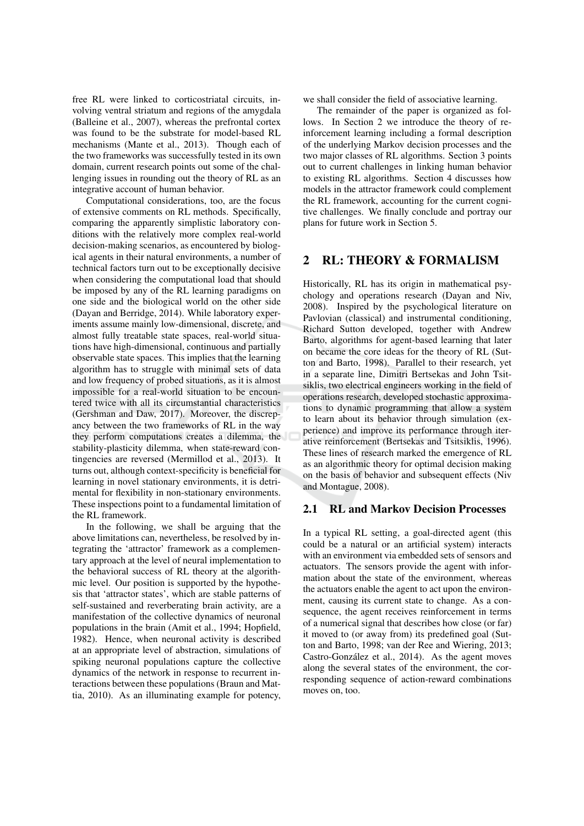free RL were linked to corticostriatal circuits, involving ventral striatum and regions of the amygdala (Balleine et al., 2007), whereas the prefrontal cortex was found to be the substrate for model-based RL mechanisms (Mante et al., 2013). Though each of the two frameworks was successfully tested in its own domain, current research points out some of the challenging issues in rounding out the theory of RL as an integrative account of human behavior.

Computational considerations, too, are the focus of extensive comments on RL methods. Specifically, comparing the apparently simplistic laboratory conditions with the relatively more complex real-world decision-making scenarios, as encountered by biological agents in their natural environments, a number of technical factors turn out to be exceptionally decisive when considering the computational load that should be imposed by any of the RL learning paradigms on one side and the biological world on the other side (Dayan and Berridge, 2014). While laboratory experiments assume mainly low-dimensional, discrete, and almost fully treatable state spaces, real-world situations have high-dimensional, continuous and partially observable state spaces. This implies that the learning algorithm has to struggle with minimal sets of data and low frequency of probed situations, as it is almost impossible for a real-world situation to be encountered twice with all its circumstantial characteristics (Gershman and Daw, 2017). Moreover, the discrepancy between the two frameworks of RL in the way they perform computations creates a dilemma, the stability-plasticity dilemma, when state-reward contingencies are reversed (Mermillod et al., 2013). It turns out, although context-specificity is beneficial for learning in novel stationary environments, it is detrimental for flexibility in non-stationary environments. These inspections point to a fundamental limitation of the RL framework.

In the following, we shall be arguing that the above limitations can, nevertheless, be resolved by integrating the 'attractor' framework as a complementary approach at the level of neural implementation to the behavioral success of RL theory at the algorithmic level. Our position is supported by the hypothesis that 'attractor states', which are stable patterns of self-sustained and reverberating brain activity, are a manifestation of the collective dynamics of neuronal populations in the brain (Amit et al., 1994; Hopfield, 1982). Hence, when neuronal activity is described at an appropriate level of abstraction, simulations of spiking neuronal populations capture the collective dynamics of the network in response to recurrent interactions between these populations (Braun and Mattia, 2010). As an illuminating example for potency, we shall consider the field of associative learning.

The remainder of the paper is organized as follows. In Section 2 we introduce the theory of reinforcement learning including a formal description of the underlying Markov decision processes and the two major classes of RL algorithms. Section 3 points out to current challenges in linking human behavior to existing RL algorithms. Section 4 discusses how models in the attractor framework could complement the RL framework, accounting for the current cognitive challenges. We finally conclude and portray our plans for future work in Section 5.

### **RL: THEORY & FORMALISM**  $\mathbf{2}$

Historically, RL has its origin in mathematical psychology and operations research (Dayan and Niv, 2008). Inspired by the psychological literature on Pavlovian (classical) and instrumental conditioning, Richard Sutton developed, together with Andrew Barto, algorithms for agent-based learning that later on became the core ideas for the theory of RL (Sutton and Barto, 1998). Parallel to their research, yet in a separate line, Dimitri Bertsekas and John Tsitsiklis, two electrical engineers working in the field of operations research, developed stochastic approximations to dynamic programming that allow a system to learn about its behavior through simulation (experience) and improve its performance through iterative reinforcement (Bertsekas and Tsitsiklis, 1996). These lines of research marked the emergence of RL as an algorithmic theory for optimal decision making on the basis of behavior and subsequent effects (Niv and Montague, 2008).

### **RL and Markov Decision Processes**  $2.1$

In a typical RL setting, a goal-directed agent (this could be a natural or an artificial system) interacts with an environment via embedded sets of sensors and actuators. The sensors provide the agent with information about the state of the environment, whereas the actuators enable the agent to act upon the environment, causing its current state to change. As a consequence, the agent receives reinforcement in terms of a numerical signal that describes how close (or far) it moved to (or away from) its predefined goal (Sutton and Barto, 1998; van der Ree and Wiering, 2013; Castro-González et al., 2014). As the agent moves along the several states of the environment, the corresponding sequence of action-reward combinations moves on, too.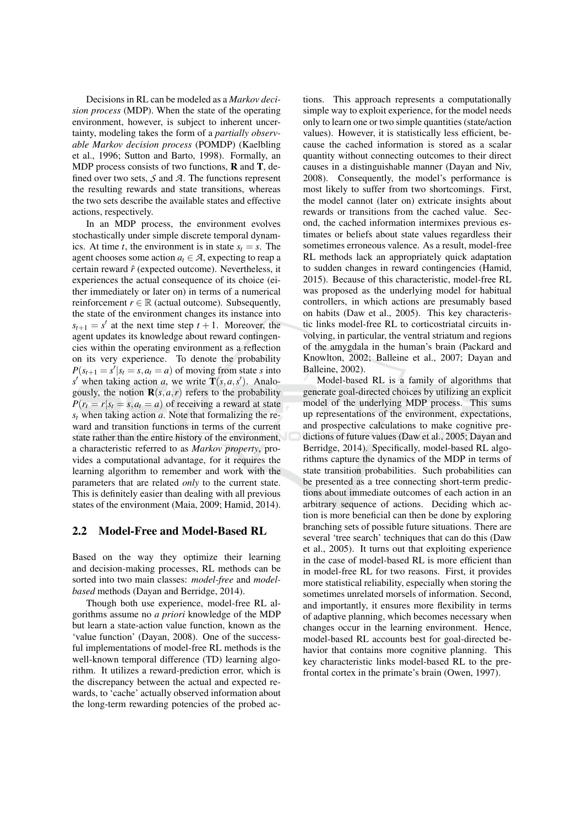Decisions in RL can be modeled as a *Markov deci*sion process (MDP). When the state of the operating environment, however, is subject to inherent uncertainty, modeling takes the form of a partially observable Markov decision process (POMDP) (Kaelbling et al., 1996; Sutton and Barto, 1998). Formally, an MDP process consists of two functions,  **and**  $**T**$ **, de**fined over two sets,  $S$  and  $A$ . The functions represent the resulting rewards and state transitions, whereas the two sets describe the available states and effective actions, respectively.

In an MDP process, the environment evolves stochastically under simple discrete temporal dynamics. At time t, the environment is in state  $s_t = s$ . The agent chooses some action  $a_t \in \mathcal{A}$ , expecting to reap a certain reward  $\hat{r}$  (expected outcome). Nevertheless, it experiences the actual consequence of its choice (either immediately or later on) in terms of a numerical reinforcement  $r \in \mathbb{R}$  (actual outcome). Subsequently, the state of the environment changes its instance into  $s_{t+1} = s'$  at the next time step  $t + 1$ . Moreover, the agent updates its knowledge about reward contingencies within the operating environment as a reflection on its very experience. To denote the probability  $P(s_{t+1} = s'|s_t = s, a_t = a)$  of moving from state s into s' when taking action a, we write  $\mathbf{T}(s, a, s')$ . Analogously, the notion  $\mathbf{R}(s, a, r)$  refers to the probability  $P(r_t = r | s_t = s, a_t = a)$  of receiving a reward at state  $s_t$  when taking action a. Note that formalizing the reward and transition functions in terms of the current state rather than the entire history of the environment. a characteristic referred to as Markov property, provides a computational advantage, for it requires the learning algorithm to remember and work with the parameters that are related *only* to the current state. This is definitely easier than dealing with all previous states of the environment (Maia, 2009; Hamid, 2014).

#### $2.2$ **Model-Free and Model-Based RL**

Based on the way they optimize their learning and decision-making processes, RL methods can be sorted into two main classes: model-free and modelbased methods (Dayan and Berridge, 2014).

Though both use experience, model-free RL algorithms assume no *a priori* knowledge of the MDP but learn a state-action value function, known as the 'value function' (Dayan, 2008). One of the successful implementations of model-free RL methods is the well-known temporal difference (TD) learning algorithm. It utilizes a reward-prediction error, which is the discrepancy between the actual and expected rewards, to 'cache' actually observed information about the long-term rewarding potencies of the probed ac-

tions. This approach represents a computationally simple way to exploit experience, for the model needs only to learn one or two simple quantities (state/action values). However, it is statistically less efficient, because the cached information is stored as a scalar quantity without connecting outcomes to their direct causes in a distinguishable manner (Dayan and Niv, 2008). Consequently, the model's performance is most likely to suffer from two shortcomings. First, the model cannot (later on) extricate insights about rewards or transitions from the cached value. Second, the cached information intermixes previous estimates or beliefs about state values regardless their sometimes erroneous valence. As a result, model-free RL methods lack an appropriately quick adaptation to sudden changes in reward contingencies (Hamid, 2015). Because of this characteristic, model-free RL was proposed as the underlying model for habitual controllers, in which actions are presumably based on habits (Daw et al., 2005). This key characteristic links model-free RL to corticostriatal circuits involving, in particular, the ventral striatum and regions of the amygdala in the human's brain (Packard and Knowlton, 2002; Balleine et al., 2007; Dayan and Balleine, 2002).

Model-based RL is a family of algorithms that generate goal-directed choices by utilizing an explicit model of the underlying MDP process. This sums up representations of the environment, expectations, and prospective calculations to make cognitive predictions of future values (Daw et al., 2005; Dayan and Berridge, 2014). Specifically, model-based RL algorithms capture the dynamics of the MDP in terms of state transition probabilities. Such probabilities can be presented as a tree connecting short-term predictions about immediate outcomes of each action in an arbitrary sequence of actions. Deciding which action is more beneficial can then be done by exploring branching sets of possible future situations. There are several 'tree search' techniques that can do this (Daw et al., 2005). It turns out that exploiting experience in the case of model-based RL is more efficient than in model-free RL for two reasons. First, it provides more statistical reliability, especially when storing the sometimes unrelated morsels of information. Second, and importantly, it ensures more flexibility in terms of adaptive planning, which becomes necessary when changes occur in the learning environment. Hence, model-based RL accounts best for goal-directed behavior that contains more cognitive planning. This key characteristic links model-based RL to the prefrontal cortex in the primate's brain (Owen, 1997).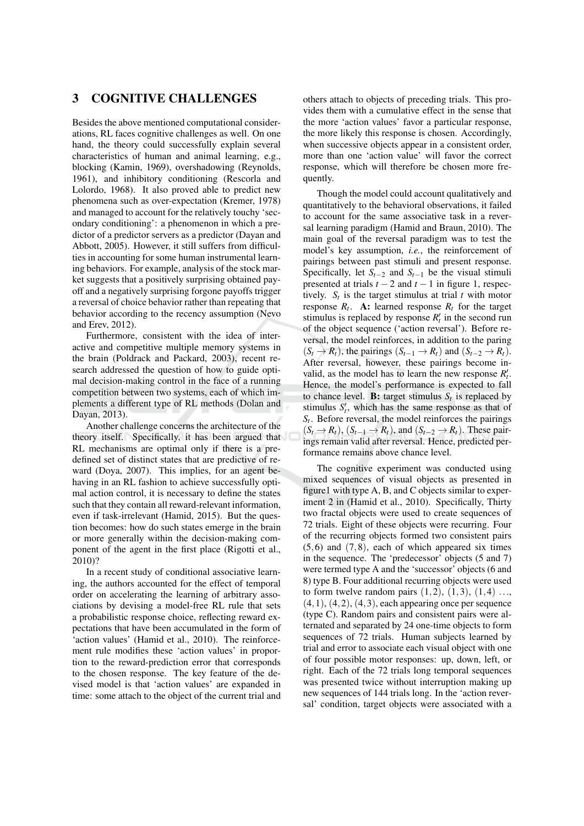## **COGNITIVE CHALLENGES** 3

Besides the above mentioned computational considerations, RL faces cognitive challenges as well. On one hand, the theory could successfully explain several characteristics of human and animal learning, e.g., blocking (Kamin, 1969), overshadowing (Reynolds, 1961), and inhibitory conditioning (Rescorla and Lolordo, 1968). It also proved able to predict new phenomena such as over-expectation (Kremer, 1978) and managed to account for the relatively touchy 'secondary conditioning': a phenomenon in which a predictor of a predictor servers as a predictor (Dayan and Abbott, 2005). However, it still suffers from difficulties in accounting for some human instrumental learning behaviors. For example, analysis of the stock market suggests that a positively surprising obtained payoff and a negatively surprising forgone payoffs trigger a reversal of choice behavior rather than repeating that behavior according to the recency assumption (Nevo and Erev, 2012).

Furthermore, consistent with the idea of interactive and competitive multiple memory systems in the brain (Poldrack and Packard, 2003), recent research addressed the question of how to guide optimal decision-making control in the face of a running competition between two systems, each of which implements a different type of RL methods (Dolan and Dayan, 2013).

Another challenge concerns the architecture of the theory itself. Specifically, it has been argued that RL mechanisms are optimal only if there is a predefined set of distinct states that are predictive of reward (Doya, 2007). This implies, for an agent behaving in an RL fashion to achieve successfully optimal action control, it is necessary to define the states such that they contain all reward-relevant information, even if task-irrelevant (Hamid, 2015). But the question becomes: how do such states emerge in the brain or more generally within the decision-making component of the agent in the first place (Rigotti et al., 2010)?

In a recent study of conditional associative learning, the authors accounted for the effect of temporal order on accelerating the learning of arbitrary associations by devising a model-free RL rule that sets a probabilistic response choice, reflecting reward expectations that have been accumulated in the form of 'action values' (Hamid et al., 2010). The reinforcement rule modifies these 'action values' in proportion to the reward-prediction error that corresponds to the chosen response. The key feature of the devised model is that 'action values' are expanded in time: some attach to the object of the current trial and others attach to objects of preceding trials. This provides them with a cumulative effect in the sense that the more 'action values' favor a particular response, the more likely this response is chosen. Accordingly, when successive objects appear in a consistent order, more than one 'action value' will favor the correct response, which will therefore be chosen more frequently.

Though the model could account qualitatively and quantitatively to the behavioral observations, it failed to account for the same associative task in a reversal learning paradigm (Hamid and Braun, 2010). The main goal of the reversal paradigm was to test the model's key assumption, *i.e.*, the reinforcement of pairings between past stimuli and present response. Specifically, let  $S_{t-2}$  and  $S_{t-1}$  be the visual stimuli presented at trials  $t - 2$  and  $t - 1$  in figure 1, respectively.  $S_t$  is the target stimulus at trial t with motor response  $R_t$ . A: learned response  $R_t$  for the target stimulus is replaced by response  $R'_t$  in the second run of the object sequence ('action reversal'). Before reversal, the model reinforces, in addition to the paring  $(S_t \to R_t)$ , the pairings  $(S_{t-1} \to R_t)$  and  $(S_{t-2} \to R_t)$ . After reversal, however, these pairings become invalid, as the model has to learn the new response  $R'_t$ . Hence, the model's performance is expected to fall to chance level. **B:** target stimulus  $S_t$  is replaced by stimulus  $S'_t$ , which has the same response as that of  $S_t$ . Before reversal, the model reinforces the pairings  $(S_t \rightarrow R_t)$ ,  $(S_{t-1} \rightarrow R_t)$ , and  $(S_{t-2} \rightarrow R_t)$ . These pairings remain valid after reversal. Hence, predicted performance remains above chance level.

The cognitive experiment was conducted using mixed sequences of visual objects as presented in figure 1 with type A, B, and C objects similar to experiment 2 in (Hamid et al., 2010). Specifically, Thirty two fractal objects were used to create sequences of 72 trials. Eight of these objects were recurring. Four of the recurring objects formed two consistent pairs  $(5,6)$  and  $(7,8)$ , each of which appeared six times in the sequence. The 'predecessor' objects (5 and 7) were termed type A and the 'successor' objects (6 and 8) type B. Four additional recurring objects were used to form twelve random pairs  $(1,2)$ ,  $(1,3)$ ,  $(1,4)$  ...,  $(4, 1), (4, 2), (4, 3),$  each appearing once per sequence (type C). Random pairs and consistent pairs were alternated and separated by 24 one-time objects to form sequences of 72 trials. Human subjects learned by trial and error to associate each visual object with one of four possible motor responses: up, down, left, or right. Each of the 72 trials long temporal sequences was presented twice without interruption making up new sequences of 144 trials long. In the 'action reversal' condition, target objects were associated with a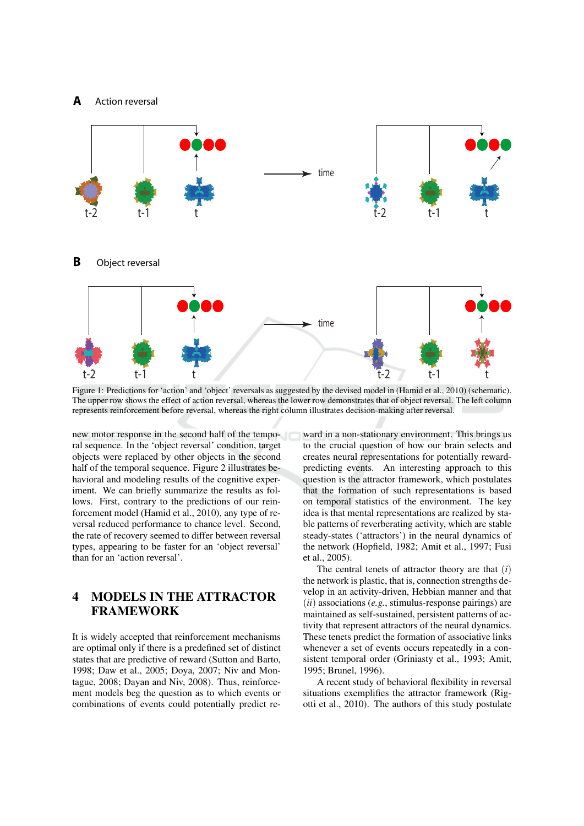

Figure 1: Predictions for 'action' and 'object' reversals as suggested by the devised model in (Hamid et al., 2010) (schematic). The upper row shows the effect of action reversal, whereas the lower row demonstrates that of object reversal. The left column represents reinforcement before reversal, whereas the right column illustrates decision-making after reversal.

new motor response in the second half of the temporal sequence. In the 'object reversal' condition, target objects were replaced by other objects in the second half of the temporal sequence. Figure 2 illustrates behavioral and modeling results of the cognitive experiment. We can briefly summarize the results as follows. First, contrary to the predictions of our reinforcement model (Hamid et al., 2010), any type of reversal reduced performance to chance level. Second, the rate of recovery seemed to differ between reversal types, appearing to be faster for an 'object reversal' than for an 'action reversal'.

# **MODELS IN THE ATTRACTOR**  $\overline{\mathbf{4}}$ **FRAMEWORK**

It is widely accepted that reinforcement mechanisms are optimal only if there is a predefined set of distinct states that are predictive of reward (Sutton and Barto, 1998; Daw et al., 2005; Doya, 2007; Niv and Montague, 2008; Dayan and Niv, 2008). Thus, reinforcement models beg the question as to which events or combinations of events could potentially predict reward in a non-stationary environment. This brings us to the crucial question of how our brain selects and creates neural representations for potentially rewardpredicting events. An interesting approach to this question is the attractor framework, which postulates that the formation of such representations is based on temporal statistics of the environment. The key idea is that mental representations are realized by stable patterns of reverberating activity, which are stable steady-states ('attractors') in the neural dynamics of the network (Hopfield, 1982; Amit et al., 1997; Fusi et al., 2005).

The central tenets of attractor theory are that  $(i)$ the network is plastic, that is, connection strengths develop in an activity-driven, Hebbian manner and that  $(ii)$  associations (e.g., stimulus-response pairings) are maintained as self-sustained, persistent patterns of activity that represent attractors of the neural dynamics. These tenets predict the formation of associative links whenever a set of events occurs repeatedly in a consistent temporal order (Griniasty et al., 1993; Amit, 1995; Brunel, 1996).

A recent study of behavioral flexibility in reversal situations exemplifies the attractor framework (Rigotti et al., 2010). The authors of this study postulate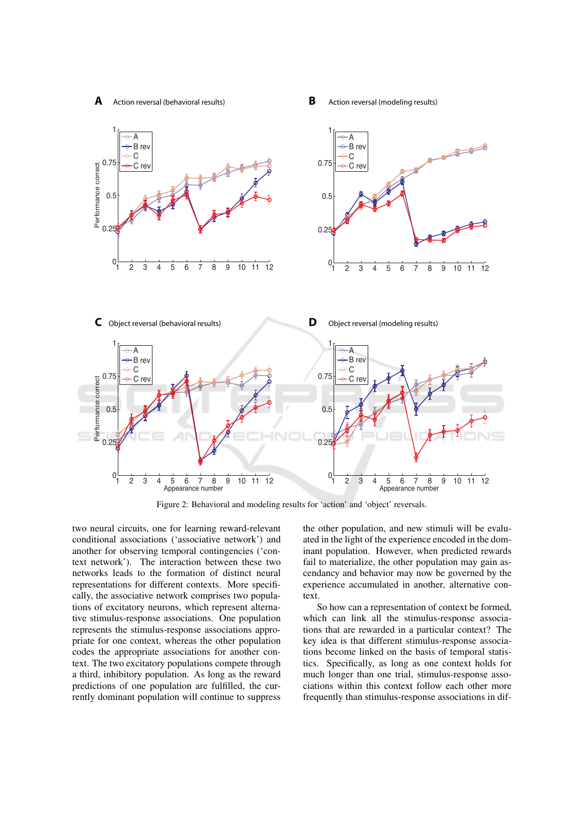Action reversal (behavioral results)

R Action reversal (modeling results)



Figure 2: Behavioral and modeling results for 'action' and 'object' reversals.

two neural circuits, one for learning reward-relevant conditional associations ('associative network') and another for observing temporal contingencies ('context network'). The interaction between these two networks leads to the formation of distinct neural representations for different contexts. More specifically, the associative network comprises two populations of excitatory neurons, which represent alternative stimulus-response associations. One population represents the stimulus-response associations appropriate for one context, whereas the other population codes the appropriate associations for another context. The two excitatory populations compete through a third, inhibitory population. As long as the reward predictions of one population are fulfilled, the currently dominant population will continue to suppress

the other population, and new stimuli will be evaluated in the light of the experience encoded in the dominant population. However, when predicted rewards fail to materialize, the other population may gain ascendancy and behavior may now be governed by the experience accumulated in another, alternative con $text$ 

So how can a representation of context be formed, which can link all the stimulus-response associations that are rewarded in a particular context? The key idea is that different stimulus-response associations become linked on the basis of temporal statistics. Specifically, as long as one context holds for much longer than one trial, stimulus-response associations within this context follow each other more frequently than stimulus-response associations in dif-

 $\mathbf{A}$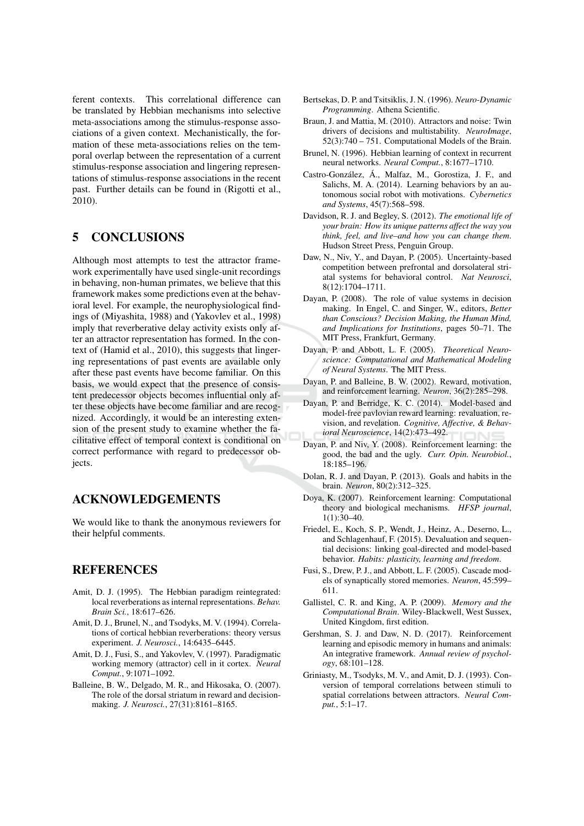ferent contexts. This correlational difference can be translated by Hebbian mechanisms into selective meta-associations among the stimulus-response associations of a given context. Mechanistically, the formation of these meta-associations relies on the temporal overlap between the representation of a current stimulus-response association and lingering representations of stimulus-response associations in the recent past. Further details can be found in (Rigotti et al., 2010).

### **CONCLUSIONS** 5

Although most attempts to test the attractor framework experimentally have used single-unit recordings in behaving, non-human primates, we believe that this framework makes some predictions even at the behavioral level. For example, the neurophysiological findings of (Miyashita, 1988) and (Yakovlev et al., 1998) imply that reverberative delay activity exists only after an attractor representation has formed. In the context of (Hamid et al., 2010), this suggests that lingering representations of past events are available only after these past events have become familiar. On this basis, we would expect that the presence of consistent predecessor objects becomes influential only after these objects have become familiar and are recognized. Accordingly, it would be an interesting extension of the present study to examine whether the facilitative effect of temporal context is conditional on correct performance with regard to predecessor obiects.

# **ACKNOWLEDGEMENTS**

We would like to thank the anonymous reviewers for their helpful comments.

# **REFERENCES**

- Amit, D. J. (1995). The Hebbian paradigm reintegrated: local reverberations as internal representations. Behav. Brain Sci., 18:617-626.
- Amit, D. J., Brunel, N., and Tsodyks, M. V. (1994). Correlations of cortical hebbian reverberations: theory versus experiment. J. Neurosci., 14:6435-6445.
- Amit, D. J., Fusi, S., and Yakovlev, V. (1997). Paradigmatic working memory (attractor) cell in it cortex. Neural Comput., 9:1071-1092.
- Balleine, B. W., Delgado, M. R., and Hikosaka, O. (2007). The role of the dorsal striatum in reward and decisionmaking. J. Neurosci., 27(31):8161-8165.
- Bertsekas, D. P. and Tsitsiklis, J. N. (1996). Neuro-Dynamic Programming. Athena Scientific.
- Braun, J. and Mattia, M. (2010). Attractors and noise: Twin drivers of decisions and multistability. NeuroImage,  $52(3):740 - 751$ . Computational Models of the Brain.
- Brunel, N. (1996). Hebbian learning of context in recurrent neural networks. Neural Comput., 8:1677-1710.
- Castro-González, Á., Malfaz, M., Gorostiza, J. F., and Salichs, M. A. (2014). Learning behaviors by an autonomous social robot with motivations. Cybernetics and Systems, 45(7):568-598.
- Davidson, R. J. and Begley, S. (2012). The emotional life of your brain: How its unique patterns affect the way you think, feel, and live-and how you can change them. Hudson Street Press, Penguin Group.
- Daw, N., Niv, Y., and Dayan, P. (2005). Uncertainty-based competition between prefrontal and dorsolateral striatal systems for behavioral control. Nat Neurosci, 8(12):1704-1711.
- Dayan, P. (2008). The role of value systems in decision making. In Engel, C. and Singer, W., editors, Better than Conscious? Decision Making, the Human Mind, and Implications for Institutions, pages 50-71. The MIT Press, Frankfurt, Germany.
- Dayan, P. and Abbott, L. F. (2005). Theoretical Neuroscience: Computational and Mathematical Modeling of Neural Systems. The MIT Press.
- Dayan, P. and Balleine, B. W. (2002). Reward, motivation, and reinforcement learning. Neuron, 36(2):285-298.
- Dayan, P. and Berridge, K. C. (2014). Model-based and model-free pavlovian reward learning: revaluation, revision, and revelation. Cognitive, Affective, & Behavioral Neuroscience, 14(2):473-492.
- Davan, P. and Niv, Y. (2008). Reinforcement learning: the good, the bad and the ugly. Curr. Opin. Neurobiol., 18:185-196.
- Dolan, R. J. and Dayan, P. (2013). Goals and habits in the brain. Neuron, 80(2):312-325.
- Doya, K. (2007). Reinforcement learning: Computational theory and biological mechanisms. HFSP journal,  $1(1):30-40.$
- Friedel, E., Koch, S. P., Wendt, J., Heinz, A., Deserno, L., and Schlagenhauf, F. (2015). Devaluation and sequential decisions: linking goal-directed and model-based behavior. Habits: plasticity, learning and freedom.
- Fusi, S., Drew, P. J., and Abbott, L. F. (2005). Cascade models of synaptically stored memories. Neuron, 45:599-611.
- Gallistel, C. R. and King, A. P. (2009). Memory and the Computational Brain. Wiley-Blackwell, West Sussex, United Kingdom, first edition.
- Gershman, S. J. and Daw, N. D. (2017). Reinforcement learning and episodic memory in humans and animals: An integrative framework. Annual review of psychology, 68:101-128.
- Griniasty, M., Tsodyks, M. V., and Amit, D. J. (1993). Conversion of temporal correlations between stimuli to spatial correlations between attractors. Neural Comput., 5:1-17.